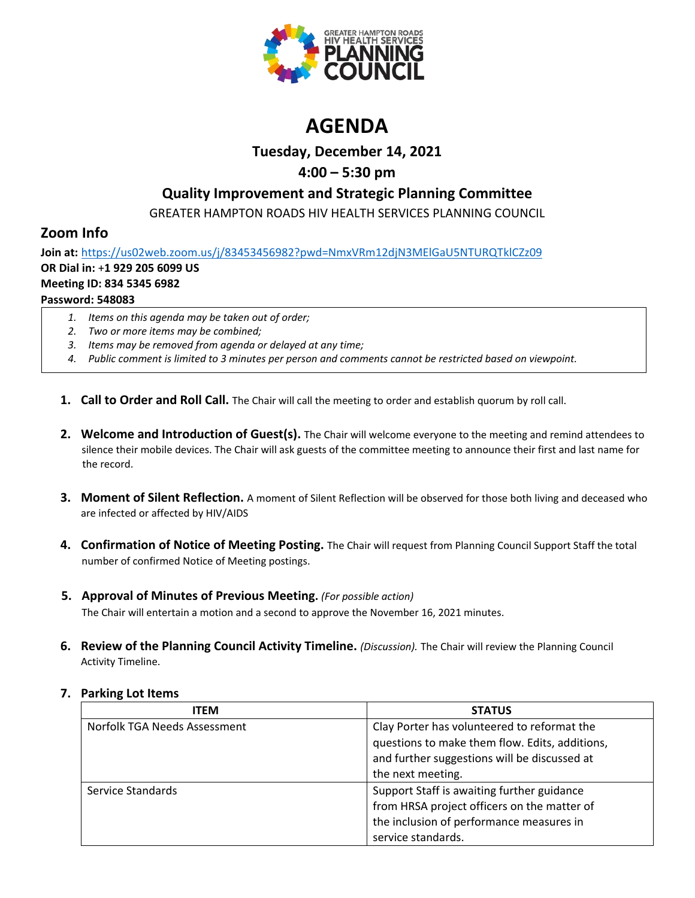

# **AGENDA**

## **Tuesday, December 14, 2021**

# **4:00 – 5:30 pm**

# **Quality Improvement and Strategic Planning Committee**

GREATER HAMPTON ROADS HIV HEALTH SERVICES PLANNING COUNCIL

# **Zoom Info**

**Join at:** <https://us02web.zoom.us/j/83453456982?pwd=NmxVRm12djN3MElGaU5NTURQTklCZz09> **OR Dial in:** +**1 929 205 6099 US Meeting ID: 834 5345 6982 Password: 548083**

- *1. Items on this agenda may be taken out of order;*
- *2. Two or more items may be combined;*
- *3. Items may be removed from agenda or delayed at any time;*
- *4. Public comment is limited to 3 minutes per person and comments cannot be restricted based on viewpoint.*
- **1. Call to Order and Roll Call.** The Chair will call the meeting to order and establish quorum by roll call.
- **2. Welcome and Introduction of Guest(s).** The Chair will welcome everyone to the meeting and remind attendees to silence their mobile devices. The Chair will ask guests of the committee meeting to announce their first and last name for the record.
- **3. Moment of Silent Reflection.** A moment of Silent Reflection will be observed for those both living and deceased who are infected or affected by HIV/AIDS
- **4. Confirmation of Notice of Meeting Posting.** The Chair will request from Planning Council Support Staff the total number of confirmed Notice of Meeting postings.
- **5. Approval of Minutes of Previous Meeting.** *(For possible action)*

The Chair will entertain a motion and a second to approve the November 16, 2021 minutes.

**6. Review of the Planning Council Activity Timeline.** *(Discussion).* The Chair will review the Planning Council Activity Timeline.

| <b>ITEM</b>                  | <b>STATUS</b>                                  |
|------------------------------|------------------------------------------------|
| Norfolk TGA Needs Assessment | Clay Porter has volunteered to reformat the    |
|                              | questions to make them flow. Edits, additions, |
|                              | and further suggestions will be discussed at   |
|                              | the next meeting.                              |
| Service Standards            | Support Staff is awaiting further guidance     |
|                              | from HRSA project officers on the matter of    |
|                              | the inclusion of performance measures in       |
|                              | service standards.                             |

### **7. Parking Lot Items**